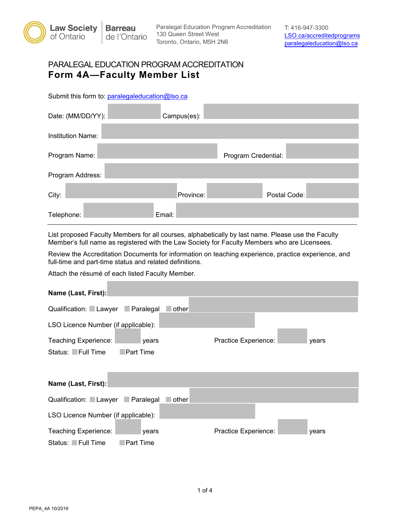

Paralegal Education Program Accreditation T: 416-947-3300<br>130 Queen Street West **ISO** ca/accredite 130 Queen Street West [LSO.ca/accreditedprograms](https://lso.ca/accreditedprograms) 

## PARALEGAL EDUCATION PROGRAM ACCREDITATION **Form 4A—Faculty Member List**

Submit this form to: [paralegaleducation@lso.ca](mailto:paralegaleducation@lso.ca) 

| Date: (MM/DD/YY): | Campus(es): |                     |  |
|-------------------|-------------|---------------------|--|
| Institution Name: |             |                     |  |
| Program Name:     |             | Program Credential: |  |
| Program Address:  |             |                     |  |
| City:             | Province:   | Postal Code:        |  |
| Telephone:        | Email:      |                     |  |

List proposed Faculty Members for all courses, alphabetically by last name. Please use the Faculty Member's full name as registered with the Law Society for Faculty Members who are Licensees.

Review the Accreditation Documents for information on teaching experience, practice experience, and full-time and part-time status and related definitions.

Attach the résumé of each listed Faculty Member.

| Name (Last, First):                                   |       |  |  |  |  |
|-------------------------------------------------------|-------|--|--|--|--|
| Qualification: Lawyer Paralegal<br>⊥other             |       |  |  |  |  |
| LSO Licence Number (if applicable):                   |       |  |  |  |  |
| Teaching Experience:<br>Practice Experience:<br>years | years |  |  |  |  |
| Status: Full Time<br>Part Time                        |       |  |  |  |  |
|                                                       |       |  |  |  |  |
| Name (Last, First):                                   |       |  |  |  |  |
| Qualification: Lawyer Paralegal<br>other              |       |  |  |  |  |
| LSO Licence Number (if applicable):                   |       |  |  |  |  |
| Teaching Experience:<br>Practice Experience:<br>years | years |  |  |  |  |
| Status: Full Time<br><b>Part Time</b>                 |       |  |  |  |  |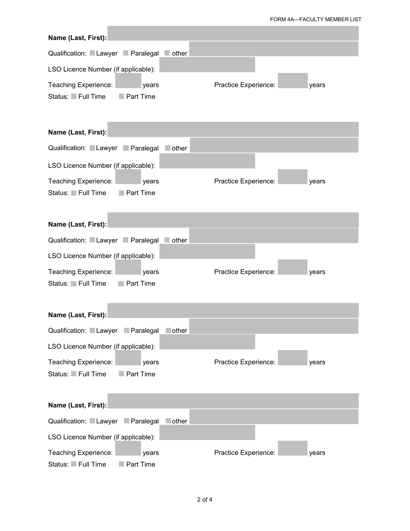## FORM 4A—FACULTY MEMBER LIST

| Name (Last, First):                                             |                               |
|-----------------------------------------------------------------|-------------------------------|
| Qualification: Lawyer Paralegal<br>other                        |                               |
| LSO Licence Number (if applicable):                             |                               |
| Teaching Experience:<br>years<br>Status: Full Time<br>Part Time | Practice Experience:<br>years |
| Name (Last, First):                                             |                               |
| Qualification: Lawyer Paralegal<br><b>other</b>                 |                               |
| LSO Licence Number (if applicable):                             |                               |
| Teaching Experience:<br>years<br>Status: Full Time<br>Part Time | Practice Experience:<br>years |
| Name (Last, First):                                             |                               |
| Qualification: Lawyer Paralegal<br>other                        |                               |
| LSO Licence Number (if applicable):                             |                               |
| Teaching Experience:<br>years<br>Status: Full Time<br>Part Time | Practice Experience:<br>years |
| Name (Last, First):                                             |                               |
| Qualification: Lawyer Paralegal<br>lother                       |                               |
| LSO Licence Number (if applicable):                             |                               |
| Teaching Experience:<br>years<br>Status: Full Time<br>Part Time | Practice Experience:<br>years |
| Name (Last, First):                                             |                               |
| Qualification: Lawyer<br>lother<br>$\Box$ Paralegal             |                               |
| LSO Licence Number (if applicable):                             |                               |
| Teaching Experience:<br>years<br>Status: Full Time<br>Part Time | Practice Experience:<br>years |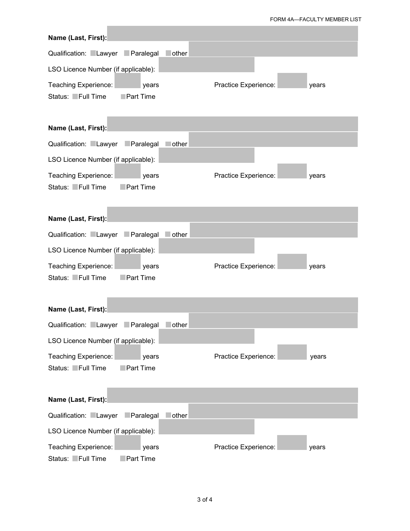FORM 4A—FACULTY MEMBER LIST

| Name (Last, First):                                                    |                               |
|------------------------------------------------------------------------|-------------------------------|
| Qualification: Lawyer Paralegal<br>$\blacksquare$ other                |                               |
| LSO Licence Number (if applicable):                                    |                               |
| Teaching Experience:<br>years<br>Status: Full Time<br><b>Part Time</b> | Practice Experience:<br>years |
| Name (Last, First):                                                    |                               |
| Qualification: Lawyer<br>Paralegal<br>lother                           |                               |
| LSO Licence Number (if applicable):                                    |                               |
| Teaching Experience:<br>years<br>Status: Full Time<br><b>Part Time</b> | Practice Experience:<br>years |
| Name (Last, First):                                                    |                               |
| Qualification: Lawyer Paralegal<br>other                               |                               |
| LSO Licence Number (if applicable):                                    |                               |
| Teaching Experience:<br>years<br>Status: Full Time<br><b>Part Time</b> | Practice Experience:<br>years |
| Name (Last, First):                                                    |                               |
| Qualification: Lawyer<br>$\Box$ Paralegal<br>lother                    |                               |
| LSO Licence Number (if applicable):                                    |                               |
| Teaching Experience:<br>years<br>Status: Full Time<br>Part Time        | Practice Experience:<br>years |
| Name (Last, First):                                                    |                               |
| Qualification: Lawyer<br>Paralegal<br>other                            |                               |
| LSO Licence Number (if applicable):                                    |                               |
| Teaching Experience:<br>years<br>Status: Full Time<br>Part Time        | Practice Experience:<br>years |